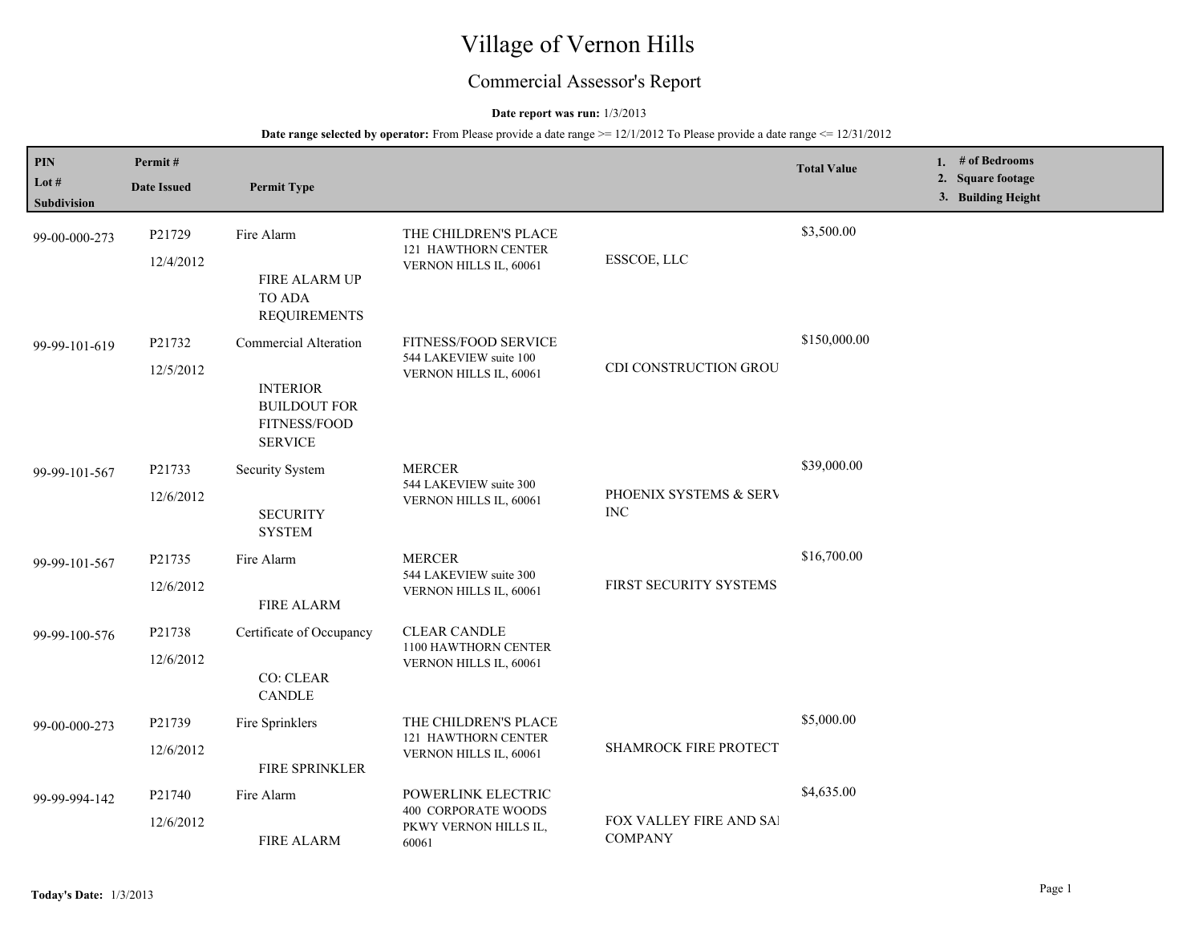# Village of Vernon Hills

## Commercial Assessor's Report

### **Date report was run:** 1/3/2013

| PIN<br>Lot #<br>Subdivision | Permit#<br><b>Date Issued</b> | <b>Permit Type</b>                                                                                |                                                                                    |                                           | <b>Total Value</b> | 1. # of Bedrooms<br>2. Square footage<br>3. Building Height |
|-----------------------------|-------------------------------|---------------------------------------------------------------------------------------------------|------------------------------------------------------------------------------------|-------------------------------------------|--------------------|-------------------------------------------------------------|
| 99-00-000-273               | P21729<br>12/4/2012           | Fire Alarm<br>FIRE ALARM UP<br>TO ADA<br><b>REQUIREMENTS</b>                                      | THE CHILDREN'S PLACE<br>121 HAWTHORN CENTER<br>VERNON HILLS IL, 60061              | ESSCOE, LLC                               | \$3,500.00         |                                                             |
| 99-99-101-619               | P21732<br>12/5/2012           | Commercial Alteration<br><b>INTERIOR</b><br><b>BUILDOUT FOR</b><br>FITNESS/FOOD<br><b>SERVICE</b> | FITNESS/FOOD SERVICE<br>544 LAKEVIEW suite 100<br>VERNON HILLS IL, 60061           | CDI CONSTRUCTION GROU                     | \$150,000.00       |                                                             |
| 99-99-101-567               | P21733<br>12/6/2012           | Security System<br><b>SECURITY</b><br><b>SYSTEM</b>                                               | <b>MERCER</b><br>544 LAKEVIEW suite 300<br>VERNON HILLS IL, 60061                  | PHOENIX SYSTEMS & SERV<br>$\rm{INC}$      | \$39,000.00        |                                                             |
| 99-99-101-567               | P21735<br>12/6/2012           | Fire Alarm<br>FIRE ALARM                                                                          | <b>MERCER</b><br>544 LAKEVIEW suite 300<br>VERNON HILLS IL, 60061                  | FIRST SECURITY SYSTEMS                    | \$16,700.00        |                                                             |
| 99-99-100-576               | P21738<br>12/6/2012           | Certificate of Occupancy<br><b>CO: CLEAR</b><br><b>CANDLE</b>                                     | <b>CLEAR CANDLE</b><br>1100 HAWTHORN CENTER<br>VERNON HILLS IL, 60061              |                                           |                    |                                                             |
| 99-00-000-273               | P21739<br>12/6/2012           | Fire Sprinklers<br>FIRE SPRINKLER                                                                 | THE CHILDREN'S PLACE<br>121 HAWTHORN CENTER<br>VERNON HILLS IL, 60061              | SHAMROCK FIRE PROTECT                     | \$5,000.00         |                                                             |
| 99-99-994-142               | P21740<br>12/6/2012           | Fire Alarm<br><b>FIRE ALARM</b>                                                                   | POWERLINK ELECTRIC<br><b>400 CORPORATE WOODS</b><br>PKWY VERNON HILLS IL,<br>60061 | FOX VALLEY FIRE AND SAI<br><b>COMPANY</b> | \$4,635.00         |                                                             |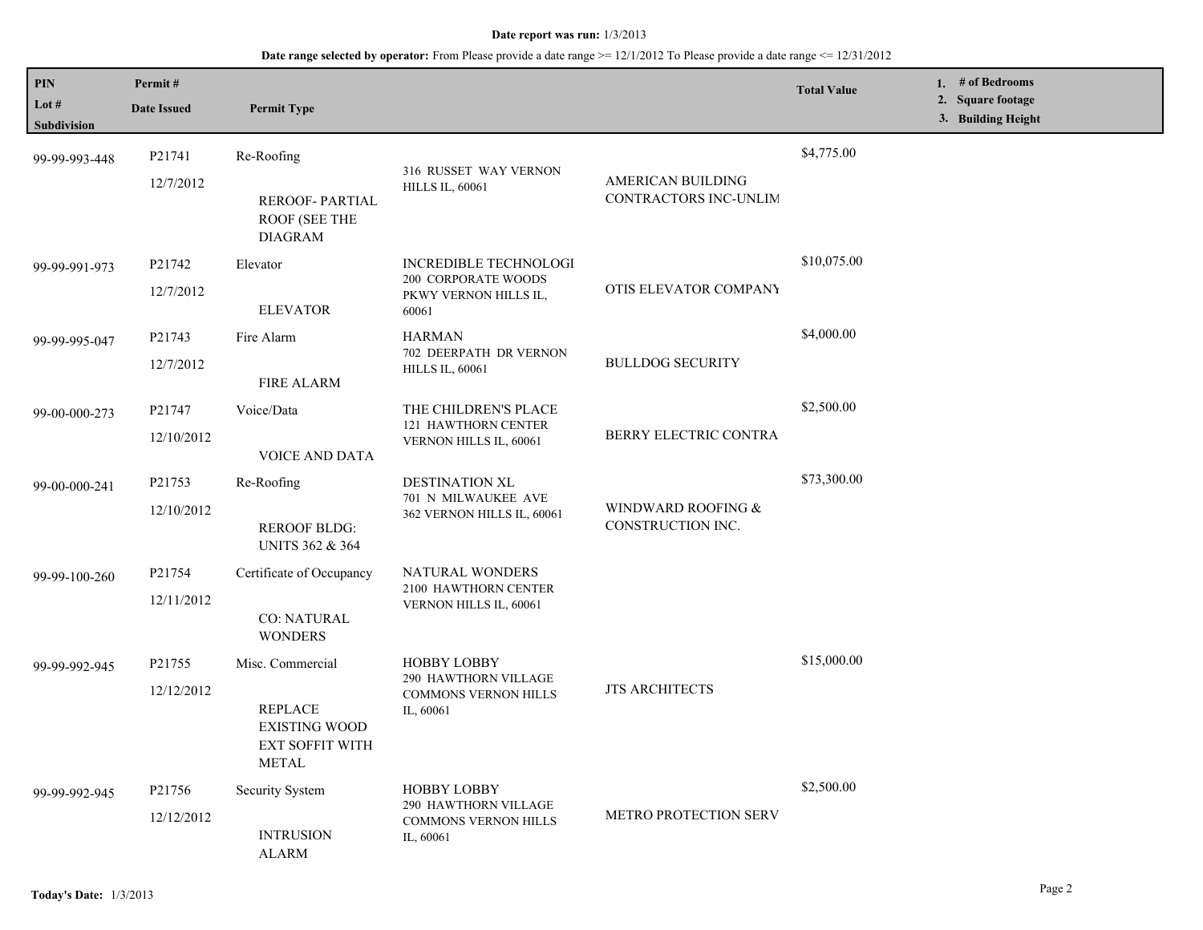| PIN<br>Lot #<br>Subdivision | Permit#<br><b>Date Issued</b>                                             | <b>Permit Type</b>                                                |                                                                                |                                            | <b>Total Value</b> | 1. # of Bedrooms<br>2. Square footage<br>3. Building Height |
|-----------------------------|---------------------------------------------------------------------------|-------------------------------------------------------------------|--------------------------------------------------------------------------------|--------------------------------------------|--------------------|-------------------------------------------------------------|
| 99-99-993-448               | P21741<br>12/7/2012                                                       | Re-Roofing                                                        | 316 RUSSET WAY VERNON<br><b>HILLS IL, 60061</b>                                | AMERICAN BUILDING<br>CONTRACTORS INC-UNLIM | \$4,775.00         |                                                             |
|                             |                                                                           | <b>REROOF-PARTIAL</b><br><b>ROOF (SEE THE</b><br><b>DIAGRAM</b>   |                                                                                |                                            |                    |                                                             |
| 99-99-991-973               | P21742                                                                    | Elevator                                                          | INCREDIBLE TECHNOLOGI<br>200 CORPORATE WOODS<br>PKWY VERNON HILLS IL,<br>60061 | OTIS ELEVATOR COMPANY                      | \$10,075.00        |                                                             |
|                             | 12/7/2012                                                                 | <b>ELEVATOR</b>                                                   |                                                                                |                                            |                    |                                                             |
| 99-99-995-047               | P21743                                                                    | Fire Alarm                                                        | <b>HARMAN</b>                                                                  |                                            | \$4,000.00         |                                                             |
|                             | 12/7/2012                                                                 | <b>FIRE ALARM</b>                                                 | 702 DEERPATH DR VERNON<br><b>HILLS IL, 60061</b>                               | <b>BULLDOG SECURITY</b>                    |                    |                                                             |
| 99-00-000-273               | P21747                                                                    | Voice/Data                                                        | THE CHILDREN'S PLACE<br><b>121 HAWTHORN CENTER</b><br>VERNON HILLS IL, 60061   | BERRY ELECTRIC CONTRA                      | \$2,500.00         |                                                             |
|                             | 12/10/2012                                                                | <b>VOICE AND DATA</b>                                             |                                                                                |                                            |                    |                                                             |
| 99-00-000-241               | P21753                                                                    | Re-Roofing                                                        | DESTINATION XL                                                                 | WINDWARD ROOFING &<br>CONSTRUCTION INC.    | \$73,300.00        |                                                             |
|                             | 12/10/2012                                                                | <b>REROOF BLDG:</b><br><b>UNITS 362 &amp; 364</b>                 | 701 N MILWAUKEE AVE<br>362 VERNON HILLS IL, 60061                              |                                            |                    |                                                             |
| 99-99-100-260               | P21754                                                                    | Certificate of Occupancy                                          | NATURAL WONDERS<br>2100 HAWTHORN CENTER<br>VERNON HILLS IL, 60061              |                                            |                    |                                                             |
|                             | 12/11/2012                                                                | <b>CO: NATURAL</b><br><b>WONDERS</b>                              |                                                                                |                                            |                    |                                                             |
| 99-99-992-945               | P21755                                                                    | Misc. Commercial                                                  | <b>HOBBY LOBBY</b><br>290 HAWTHORN VILLAGE<br>COMMONS VERNON HILLS             | <b>JTS ARCHITECTS</b>                      | \$15,000.00        |                                                             |
|                             | 12/12/2012                                                                |                                                                   |                                                                                |                                            |                    |                                                             |
|                             | <b>REPLACE</b><br><b>EXISTING WOOD</b><br>EXT SOFFIT WITH<br><b>METAL</b> | IL, 60061                                                         |                                                                                |                                            |                    |                                                             |
| 99-99-992-945               | P21756                                                                    | Security System                                                   | <b>HOBBY LOBBY</b><br>290 HAWTHORN VILLAGE                                     |                                            | \$2,500.00         |                                                             |
|                             | 12/12/2012<br><b>INTRUSION</b><br>ALARM                                   | METRO PROTECTION SERV<br><b>COMMONS VERNON HILLS</b><br>IL, 60061 |                                                                                |                                            |                    |                                                             |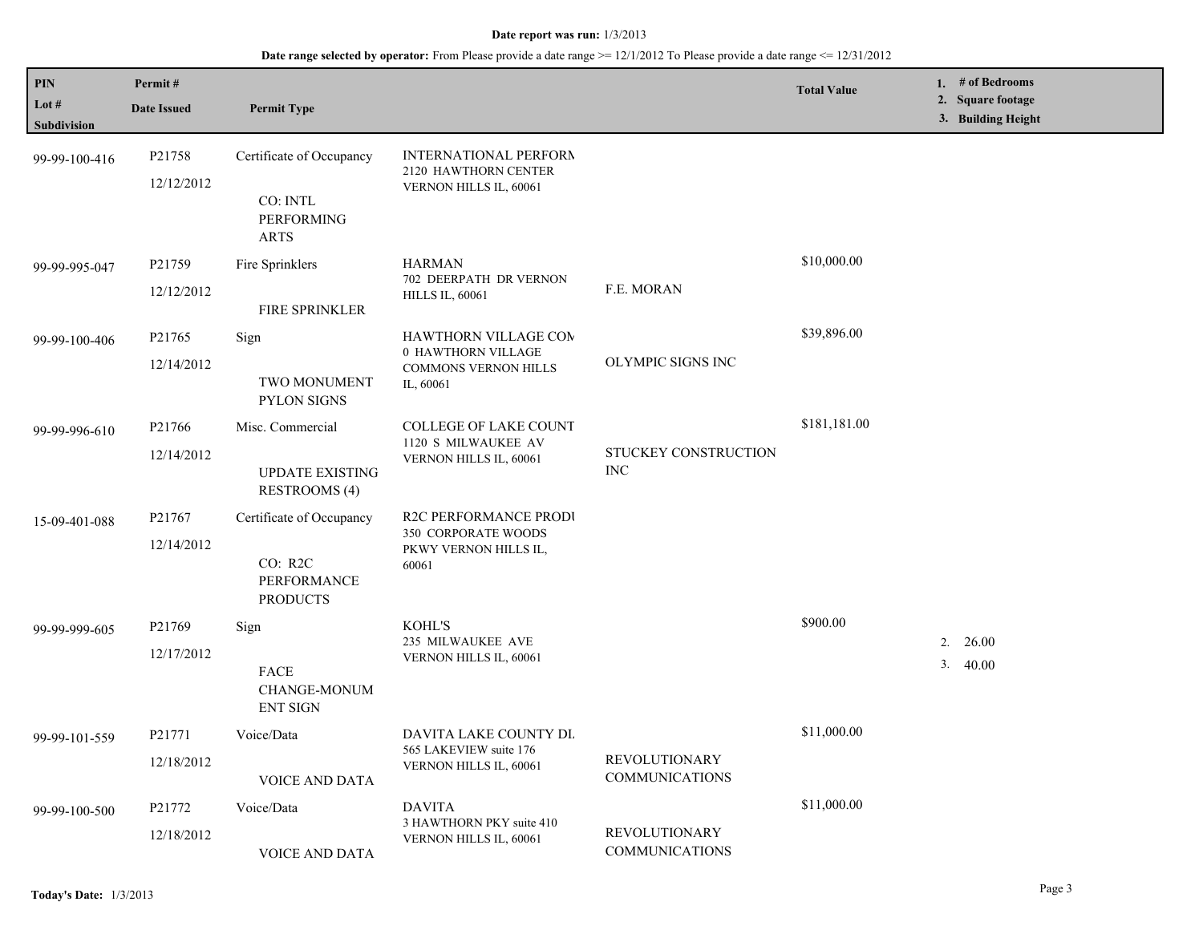| PIN           | Permit#                                                 |                                                |                                                                               |                                               | <b>Total Value</b> |                            | 1. # of Bedrooms                        |
|---------------|---------------------------------------------------------|------------------------------------------------|-------------------------------------------------------------------------------|-----------------------------------------------|--------------------|----------------------------|-----------------------------------------|
| Lot #         | <b>Date Issued</b>                                      | <b>Permit Type</b>                             |                                                                               |                                               |                    |                            | 2. Square footage<br>3. Building Height |
| Subdivision   |                                                         |                                                |                                                                               |                                               |                    |                            |                                         |
| 99-99-100-416 | P21758                                                  | Certificate of Occupancy                       | INTERNATIONAL PERFORM<br>2120 HAWTHORN CENTER                                 |                                               |                    |                            |                                         |
|               | 12/12/2012                                              | CO: INTL<br><b>PERFORMING</b><br>ARTS          | VERNON HILLS IL, 60061                                                        |                                               |                    |                            |                                         |
| 99-99-995-047 | P21759                                                  | Fire Sprinklers                                | <b>HARMAN</b>                                                                 | \$10,000.00<br>F.E. MORAN                     |                    |                            |                                         |
|               | 12/12/2012                                              | <b>FIRE SPRINKLER</b>                          | 702 DEERPATH DR VERNON<br><b>HILLS IL, 60061</b>                              |                                               |                    |                            |                                         |
| 99-99-100-406 | P21765                                                  | Sign                                           | HAWTHORN VILLAGE COM                                                          |                                               | \$39,896.00        |                            |                                         |
|               | 12/14/2012                                              | TWO MONUMENT<br><b>PYLON SIGNS</b>             | 0 HAWTHORN VILLAGE<br><b>COMMONS VERNON HILLS</b><br>IL, 60061                | OLYMPIC SIGNS INC                             |                    |                            |                                         |
| 99-99-996-610 | P21766                                                  | Misc. Commercial                               | <b>COLLEGE OF LAKE COUNT</b><br>1120 S MILWAUKEE AV<br>VERNON HILLS IL, 60061 | STUCKEY CONSTRUCTION<br><b>INC</b>            | \$181,181.00       |                            |                                         |
|               | 12/14/2012                                              | <b>UPDATE EXISTING</b><br><b>RESTROOMS (4)</b> |                                                                               |                                               |                    |                            |                                         |
| 15-09-401-088 | P21767                                                  | Certificate of Occupancy                       | R2C PERFORMANCE PRODI<br>350 CORPORATE WOODS                                  |                                               |                    |                            |                                         |
|               | 12/14/2012<br>CO: R2C<br>PERFORMANCE<br><b>PRODUCTS</b> | PKWY VERNON HILLS IL,<br>60061                 |                                                                               |                                               |                    |                            |                                         |
| 99-99-999-605 | P <sub>21769</sub>                                      | Sign                                           | KOHL'S                                                                        |                                               | \$900.00           |                            |                                         |
|               | 12/17/2012                                              | FACE<br><b>CHANGE-MONUM</b><br><b>ENT SIGN</b> | 235 MILWAUKEE AVE<br>VERNON HILLS IL, 60061                                   |                                               |                    | 26.00<br>2.<br>3.<br>40.00 |                                         |
| 99-99-101-559 | P21771                                                  | Voice/Data                                     | DAVITA LAKE COUNTY DL<br>565 LAKEVIEW suite 176<br>VERNON HILLS IL, 60061     |                                               | \$11,000.00        |                            |                                         |
|               | 12/18/2012                                              | <b>VOICE AND DATA</b>                          |                                                                               | <b>REVOLUTIONARY</b><br><b>COMMUNICATIONS</b> |                    |                            |                                         |
| 99-99-100-500 | P21772                                                  | Voice/Data                                     | <b>DAVITA</b><br>3 HAWTHORN PKY suite 410<br>VERNON HILLS IL, 60061           |                                               | \$11,000.00        |                            |                                         |
|               | 12/18/2012                                              | VOICE AND DATA                                 |                                                                               | <b>REVOLUTIONARY</b><br><b>COMMUNICATIONS</b> |                    |                            |                                         |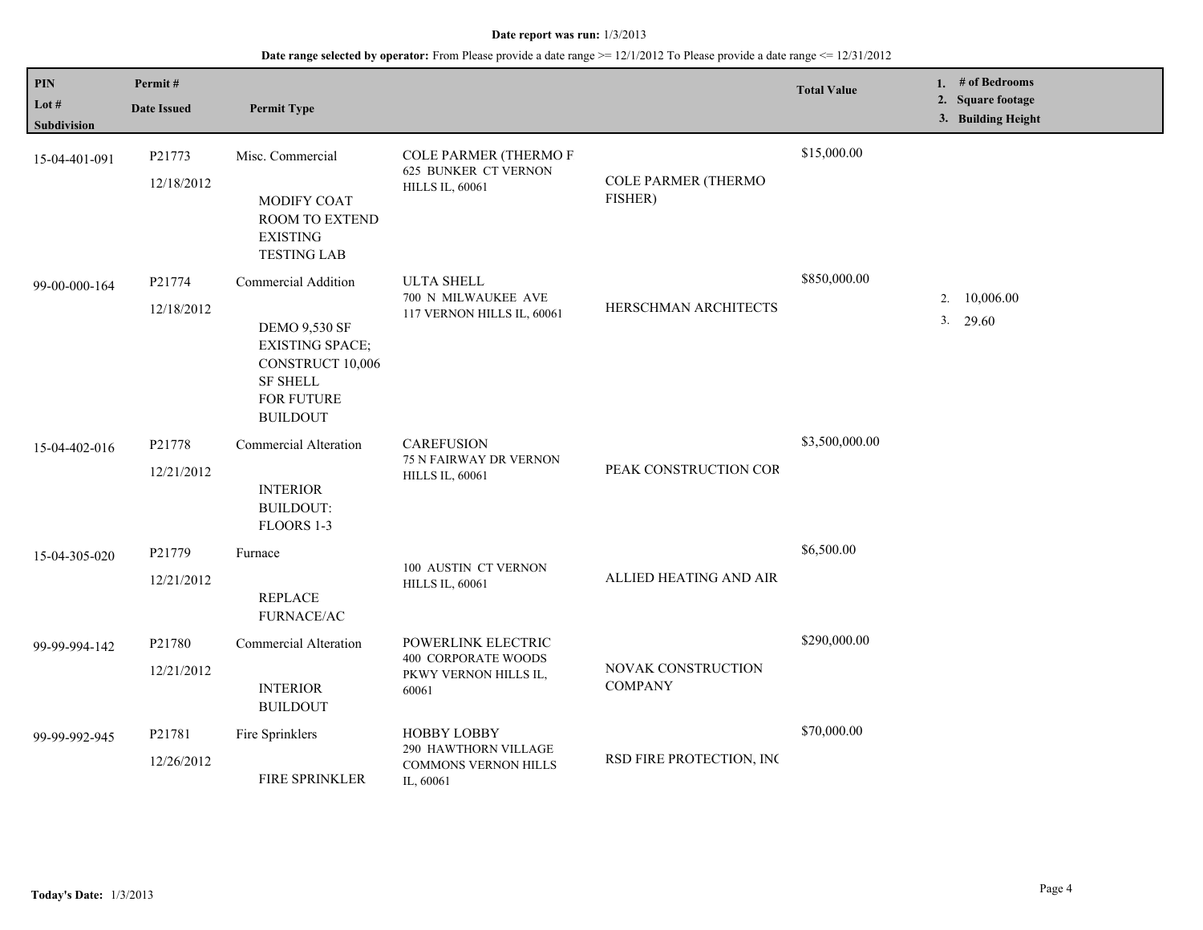| $\mathbf{PIN}$<br>Lot $#$<br><b>Subdivision</b> | Permit#<br><b>Date Issued</b> | <b>Permit Type</b>                                                                                                                            |                                                                                        |                                       | <b>Total Value</b> | 1. $#$ of Bedrooms<br>2. Square footage<br>3. Building Height |
|-------------------------------------------------|-------------------------------|-----------------------------------------------------------------------------------------------------------------------------------------------|----------------------------------------------------------------------------------------|---------------------------------------|--------------------|---------------------------------------------------------------|
| 15-04-401-091                                   | P21773<br>12/18/2012          | Misc. Commercial<br>MODIFY COAT<br>ROOM TO EXTEND<br><b>EXISTING</b><br><b>TESTING LAB</b>                                                    | <b>COLE PARMER (THERMOF</b><br>625 BUNKER CT VERNON<br><b>HILLS IL, 60061</b>          | <b>COLE PARMER (THERMO</b><br>FISHER) | \$15,000.00        |                                                               |
| 99-00-000-164                                   | P21774<br>12/18/2012          | Commercial Addition<br><b>DEMO 9,530 SF</b><br><b>EXISTING SPACE;</b><br>CONSTRUCT 10,006<br><b>SF SHELL</b><br>FOR FUTURE<br><b>BUILDOUT</b> | <b>ULTA SHELL</b><br>700 N MILWAUKEE AVE<br>117 VERNON HILLS IL, 60061                 | HERSCHMAN ARCHITECTS                  | \$850,000.00       | 10,006.00<br>2.<br>3.<br>29.60                                |
| 15-04-402-016                                   | P21778<br>12/21/2012          | <b>Commercial Alteration</b><br><b>INTERIOR</b><br><b>BUILDOUT:</b><br>FLOORS 1-3                                                             | <b>CAREFUSION</b><br><b>75 N FAIRWAY DR VERNON</b><br><b>HILLS IL, 60061</b>           | PEAK CONSTRUCTION COR                 | \$3,500,000.00     |                                                               |
| 15-04-305-020                                   | P21779<br>12/21/2012          | Furnace<br><b>REPLACE</b><br>FURNACE/AC                                                                                                       | 100 AUSTIN CT VERNON<br><b>HILLS IL, 60061</b>                                         | ALLIED HEATING AND AIR                | \$6,500.00         |                                                               |
| 99-99-994-142                                   | P21780<br>12/21/2012          | Commercial Alteration<br><b>INTERIOR</b><br><b>BUILDOUT</b>                                                                                   | POWERLINK ELECTRIC<br><b>400 CORPORATE WOODS</b><br>PKWY VERNON HILLS IL,<br>60061     | NOVAK CONSTRUCTION<br><b>COMPANY</b>  | \$290,000.00       |                                                               |
| 99-99-992-945                                   | P21781<br>12/26/2012          | Fire Sprinklers<br>FIRE SPRINKLER                                                                                                             | <b>HOBBY LOBBY</b><br>290 HAWTHORN VILLAGE<br><b>COMMONS VERNON HILLS</b><br>IL, 60061 | RSD FIRE PROTECTION, INC              | \$70,000.00        |                                                               |